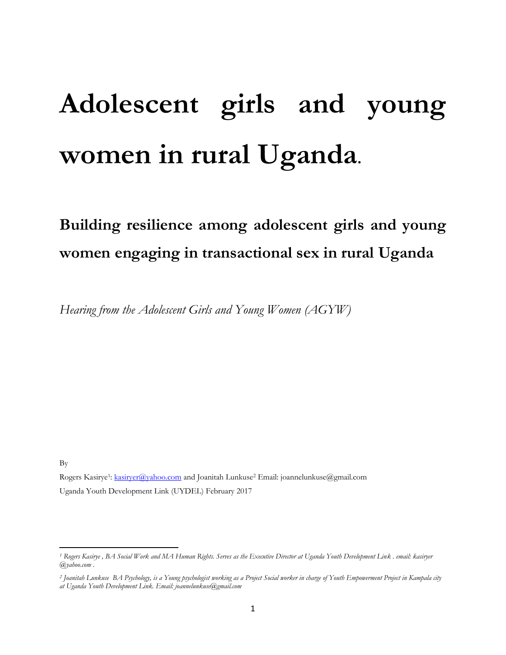# **Adolescent girls and young women in rural Uganda.**

# **Building resilience among adolescent girls and young women engaging in transactional sex in rural Uganda**

*Hearing from the Adolescent Girls and Young Women (AGYW)*

By

 $\overline{\phantom{a}}$ 

Rogers Kasirye<sup>1</sup>: <u>kasiryer@yahoo.com</u> and Joanitah Lunkuse<sup>2</sup> Email: joannelunkuse@gmail.com Uganda Youth Development Link (UYDEL) February 2017

*<sup>1</sup> Rogers Kasirye , BA Social Work and MA Human Rights. Serves as the Executive Director at Uganda Youth Development Link . email: kasiryer @yahoo.com .*

*<sup>2</sup> Joanitah Lunkuse BA Psychology, is a Young psychologist working as a Project Social worker in charge of Youth Empowerment Project in Kampala city at Uganda Youth Development Link. Email: joannelunkuse@gmail.com*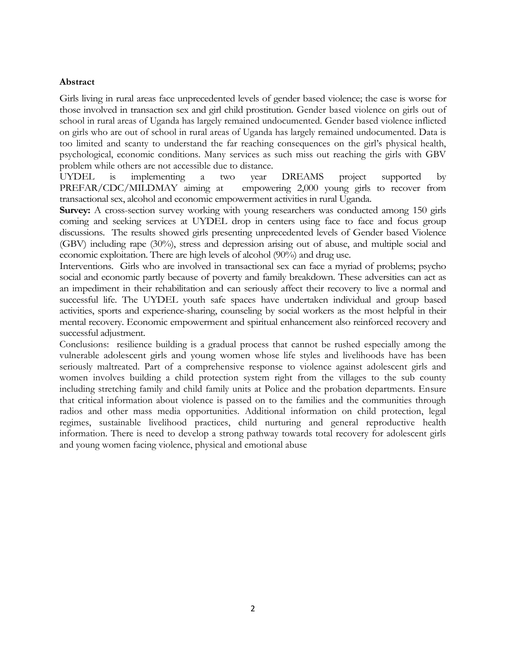# **Abstract**

Girls living in rural areas face unprecedented levels of gender based violence; the case is worse for those involved in transaction sex and girl child prostitution. Gender based violence on girls out of school in rural areas of Uganda has largely remained undocumented. Gender based violence inflicted on girls who are out of school in rural areas of Uganda has largely remained undocumented. Data is too limited and scanty to understand the far reaching consequences on the girl"s physical health, psychological, economic conditions. Many services as such miss out reaching the girls with GBV problem while others are not accessible due to distance.

UYDEL is implementing a two year DREAMS project supported by PREFAR/CDC/MILDMAY aiming at empowering 2,000 young girls to recover from transactional sex, alcohol and economic empowerment activities in rural Uganda.

**Survey:** A cross-section survey working with young researchers was conducted among 150 girls coming and seeking services at UYDEL drop in centers using face to face and focus group discussions. The results showed girls presenting unprecedented levels of Gender based Violence (GBV) including rape (30%), stress and depression arising out of abuse, and multiple social and economic exploitation. There are high levels of alcohol (90%) and drug use.

Interventions. Girls who are involved in transactional sex can face a myriad of problems; psycho social and economic partly because of poverty and family breakdown. These adversities can act as an impediment in their rehabilitation and can seriously affect their recovery to live a normal and successful life. The UYDEL youth safe spaces have undertaken individual and group based activities, sports and experience-sharing, counseling by social workers as the most helpful in their mental recovery. Economic empowerment and spiritual enhancement also reinforced recovery and successful adjustment.

Conclusions: resilience building is a gradual process that cannot be rushed especially among the vulnerable adolescent girls and young women whose life styles and livelihoods have has been seriously maltreated. Part of a comprehensive response to violence against adolescent girls and women involves building a child protection system right from the villages to the sub county including stretching family and child family units at Police and the probation departments. Ensure that critical information about violence is passed on to the families and the communities through radios and other mass media opportunities. Additional information on child protection, legal regimes, sustainable livelihood practices, child nurturing and general reproductive health information. There is need to develop a strong pathway towards total recovery for adolescent girls and young women facing violence, physical and emotional abuse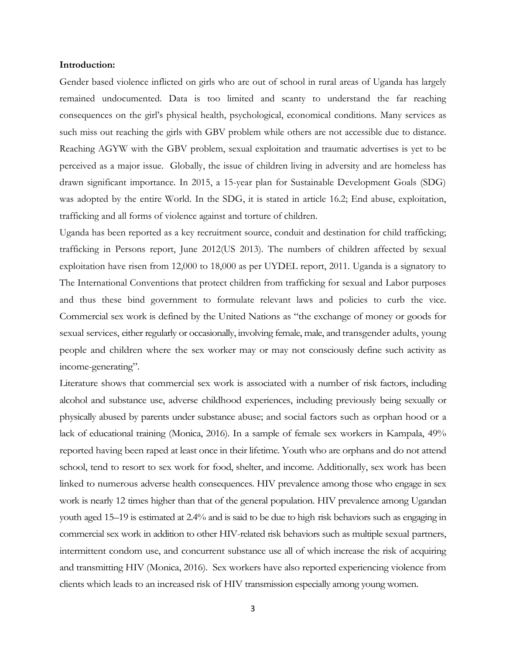#### **Introduction:**

Gender based violence inflicted on girls who are out of school in rural areas of Uganda has largely remained undocumented. Data is too limited and scanty to understand the far reaching consequences on the girl"s physical health, psychological, economical conditions. Many services as such miss out reaching the girls with GBV problem while others are not accessible due to distance. Reaching AGYW with the GBV problem, sexual exploitation and traumatic advertises is yet to be perceived as a major issue. Globally, the issue of children living in adversity and are homeless has drawn significant importance. In 2015, a 15-year plan for Sustainable Development Goals (SDG) was adopted by the entire World. In the SDG, it is stated in article 16.2; End abuse, exploitation, trafficking and all forms of violence against and torture of children.

Uganda has been reported as a key recruitment source, conduit and destination for child trafficking; trafficking in Persons report, June 2012(US 2013). The numbers of children affected by sexual exploitation have risen from 12,000 to 18,000 as per UYDEL report, 2011. Uganda is a signatory to The International Conventions that protect children from trafficking for sexual and Labor purposes and thus these bind government to formulate relevant laws and policies to curb the vice. Commercial sex work is defined by the United Nations as "the exchange of money or goods for sexual services, either regularly or occasionally, involving female, male, and transgender adults, young people and children where the sex worker may or may not consciously define such activity as income-generating".

Literature shows that commercial sex work is associated with a number of risk factors, including alcohol and substance use, adverse childhood experiences, including previously being sexually or physically abused by parents under substance abuse; and social factors such as orphan hood or a lack of educational training (Monica, 2016). In a sample of female sex workers in Kampala, 49% reported having been raped at least once in their lifetime. Youth who are orphans and do not attend school, tend to resort to sex work for food, shelter, and income. Additionally, sex work has been linked to numerous adverse health consequences. HIV prevalence among those who engage in sex work is nearly 12 times higher than that of the general population. HIV prevalence among Ugandan youth aged 15–19 is estimated at 2.4% and is said to be due to high risk behaviors such as engaging in commercial sex work in addition to other HIV-related risk behaviors such as multiple sexual partners, intermittent condom use, and concurrent substance use all of which increase the risk of acquiring and transmitting HIV (Monica, 2016). Sex workers have also reported experiencing violence from clients which leads to an increased risk of HIV transmission especially among young women.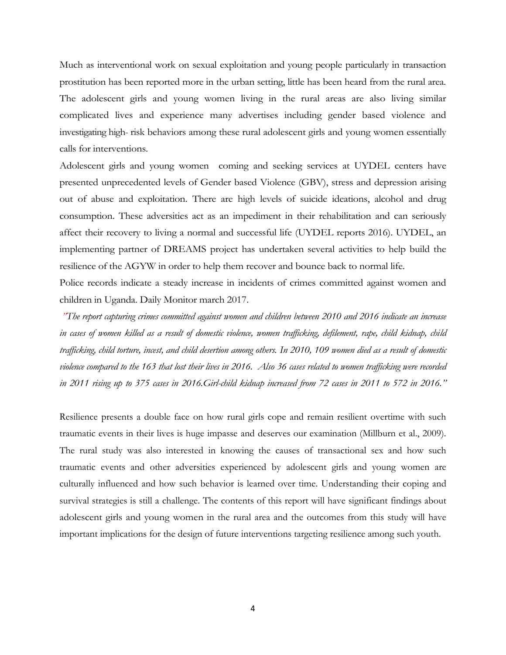Much as interventional work on sexual exploitation and young people particularly in transaction prostitution has been reported more in the urban setting, little has been heard from the rural area. The adolescent girls and young women living in the rural areas are also living similar complicated lives and experience many advertises including gender based violence and investigating high- risk behaviors among these rural adolescent girls and young women essentially calls for interventions.

Adolescent girls and young women coming and seeking services at UYDEL centers have presented unprecedented levels of Gender based Violence (GBV), stress and depression arising out of abuse and exploitation. There are high levels of suicide ideations, alcohol and drug consumption. These adversities act as an impediment in their rehabilitation and can seriously affect their recovery to living a normal and successful life (UYDEL reports 2016). UYDEL, an implementing partner of DREAMS project has undertaken several activities to help build the resilience of the AGYW in order to help them recover and bounce back to normal life.

Police records indicate a steady increase in incidents of crimes committed against women and children in Uganda. Daily Monitor march 2017.

*"The report capturing crimes committed against women and children between 2010 and 2016 indicate an increase in cases of women killed as a result of domestic violence, women trafficking, defilement, rape, child kidnap, child trafficking, child torture, incest, and child desertion among others. In 2010, 109 women died as a result of domestic violence compared to the 163 that lost their lives in 2016. Also 36 cases related to women trafficking were recorded in 2011 rising up to 375 cases in 2016.Girl-child kidnap increased from 72 cases in 2011 to 572 in 2016."*

Resilience presents a double face on how rural girls cope and remain resilient overtime with such traumatic events in their lives is huge impasse and deserves our examination (Millburn et al., 2009). The rural study was also interested in knowing the causes of transactional sex and how such traumatic events and other adversities experienced by adolescent girls and young women are culturally influenced and how such behavior is learned over time. Understanding their coping and survival strategies is still a challenge. The contents of this report will have significant findings about adolescent girls and young women in the rural area and the outcomes from this study will have important implications for the design of future interventions targeting resilience among such youth.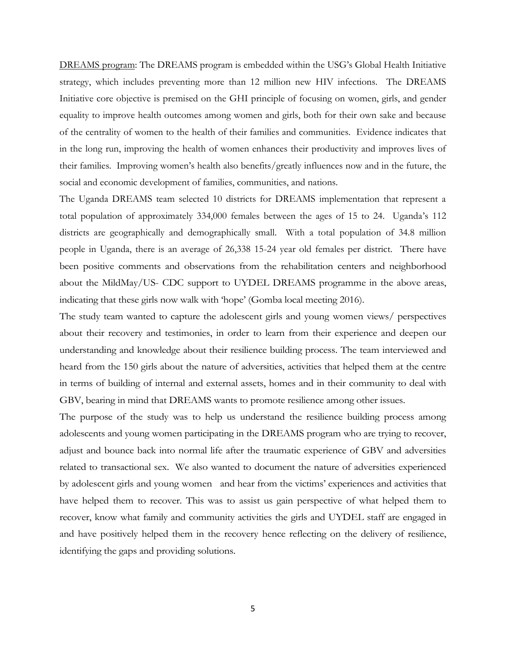DREAMS program: The DREAMS program is embedded within the USG"s Global Health Initiative strategy, which includes preventing more than 12 million new HIV infections. The DREAMS Initiative core objective is premised on the GHI principle of focusing on women, girls, and gender equality to improve health outcomes among women and girls, both for their own sake and because of the centrality of women to the health of their families and communities. Evidence indicates that in the long run, improving the health of women enhances their productivity and improves lives of their families. Improving women"s health also benefits/greatly influences now and in the future, the social and economic development of families, communities, and nations.

The Uganda DREAMS team selected 10 districts for DREAMS implementation that represent a total population of approximately 334,000 females between the ages of 15 to 24. Uganda"s 112 districts are geographically and demographically small. With a total population of 34.8 million people in Uganda, there is an average of 26,338 15-24 year old females per district. There have been positive comments and observations from the rehabilitation centers and neighborhood about the MildMay/US- CDC support to UYDEL DREAMS programme in the above areas, indicating that these girls now walk with 'hope' (Gomba local meeting 2016).

The study team wanted to capture the adolescent girls and young women views/ perspectives about their recovery and testimonies, in order to learn from their experience and deepen our understanding and knowledge about their resilience building process. The team interviewed and heard from the 150 girls about the nature of adversities, activities that helped them at the centre in terms of building of internal and external assets, homes and in their community to deal with GBV, bearing in mind that DREAMS wants to promote resilience among other issues.

The purpose of the study was to help us understand the resilience building process among adolescents and young women participating in the DREAMS program who are trying to recover, adjust and bounce back into normal life after the traumatic experience of GBV and adversities related to transactional sex. We also wanted to document the nature of adversities experienced by adolescent girls and young women and hear from the victims" experiences and activities that have helped them to recover. This was to assist us gain perspective of what helped them to recover, know what family and community activities the girls and UYDEL staff are engaged in and have positively helped them in the recovery hence reflecting on the delivery of resilience, identifying the gaps and providing solutions.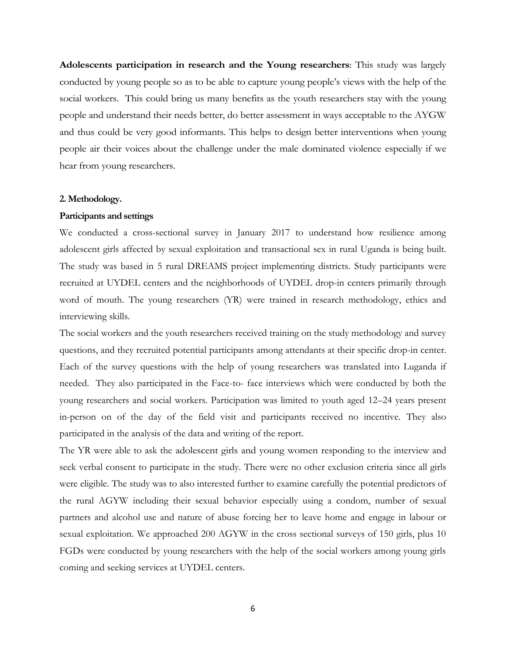**Adolescents participation in research and the Young researchers**: This study was largely conducted by young people so as to be able to capture young people"s views with the help of the social workers. This could bring us many benefits as the youth researchers stay with the young people and understand their needs better, do better assessment in ways acceptable to the AYGW and thus could be very good informants. This helps to design better interventions when young people air their voices about the challenge under the male dominated violence especially if we hear from young researchers.

#### **2. Methodology.**

# **Participants and settings**

We conducted a cross-sectional survey in January 2017 to understand how resilience among adolescent girls affected by sexual exploitation and transactional sex in rural Uganda is being built. The study was based in 5 rural DREAMS project implementing districts. Study participants were recruited at UYDEL centers and the neighborhoods of UYDEL drop-in centers primarily through word of mouth. The young researchers (YR) were trained in research methodology, ethics and interviewing skills.

The social workers and the youth researchers received training on the study methodology and survey questions, and they recruited potential participants among attendants at their specific drop-in center. Each of the survey questions with the help of young researchers was translated into Luganda if needed. They also participated in the Face-to- face interviews which were conducted by both the young researchers and social workers. Participation was limited to youth aged 12–24 years present in-person on of the day of the field visit and participants received no incentive. They also participated in the analysis of the data and writing of the report.

The YR were able to ask the adolescent girls and young women responding to the interview and seek verbal consent to participate in the study. There were no other exclusion criteria since all girls were eligible. The study was to also interested further to examine carefully the potential predictors of the rural AGYW including their sexual behavior especially using a condom, number of sexual partners and alcohol use and nature of abuse forcing her to leave home and engage in labour or sexual exploitation. We approached 200 AGYW in the cross sectional surveys of 150 girls, plus 10 FGDs were conducted by young researchers with the help of the social workers among young girls coming and seeking services at UYDEL centers.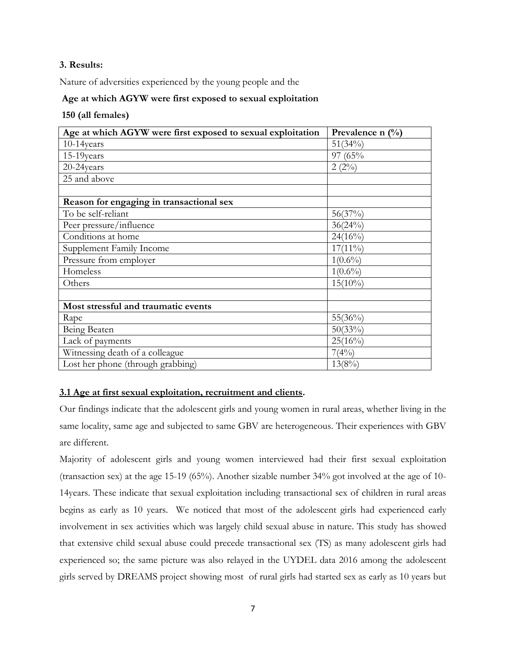# **3. Results:**

Nature of adversities experienced by the young people and the

# **Age at which AGYW were first exposed to sexual exploitation**

# **150 (all females)**

| Age at which AGYW were first exposed to sexual exploitation | Prevalence n $(\%)$ |
|-------------------------------------------------------------|---------------------|
| $10-14$ years                                               | $51(34\%)$          |
| 15-19years                                                  | 97 (65%             |
| 20-24years                                                  | $2(2\%)$            |
| 25 and above                                                |                     |
|                                                             |                     |
| Reason for engaging in transactional sex                    |                     |
| To be self-reliant                                          | 56(37%)             |
| Peer pressure/influence                                     | 36(24%)             |
| Conditions at home                                          | $24(16\%)$          |
| Supplement Family Income                                    | $17(11\%)$          |
| Pressure from employer                                      | $1(0.6\%)$          |
| Homeless                                                    | $1(0.6\%)$          |
| Others                                                      | $15(10\%)$          |
|                                                             |                     |
| Most stressful and traumatic events                         |                     |
| Rape                                                        | 55(36%)             |
| Being Beaten                                                | $50(33\%)$          |
| Lack of payments                                            | $25(16\%)$          |
| Witnessing death of a colleague                             | 7(4%)               |
| Lost her phone (through grabbing)                           | $13(8\%)$           |

# **3.1 Age at first sexual exploitation, recruitment and clients.**

Our findings indicate that the adolescent girls and young women in rural areas, whether living in the same locality, same age and subjected to same GBV are heterogeneous. Their experiences with GBV are different.

Majority of adolescent girls and young women interviewed had their first sexual exploitation (transaction sex) at the age 15-19 (65%). Another sizable number 34% got involved at the age of 10- 14years. These indicate that sexual exploitation including transactional sex of children in rural areas begins as early as 10 years. We noticed that most of the adolescent girls had experienced early involvement in sex activities which was largely child sexual abuse in nature. This study has showed that extensive child sexual abuse could precede transactional sex (TS) as many adolescent girls had experienced so; the same picture was also relayed in the UYDEL data 2016 among the adolescent girls served by DREAMS project showing most of rural girls had started sex as early as 10 years but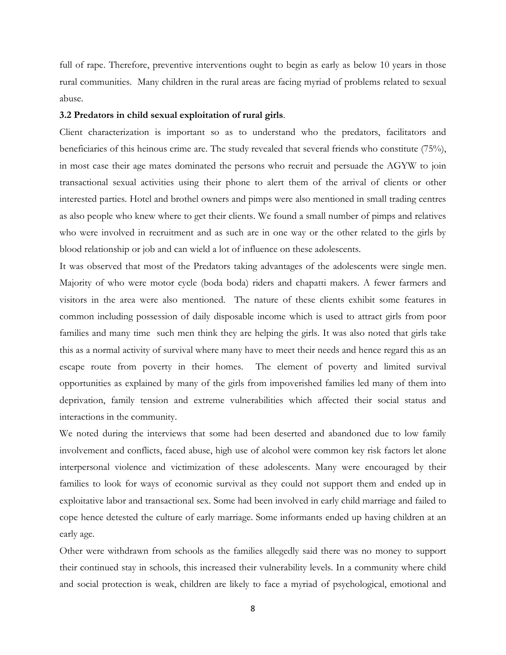full of rape. Therefore, preventive interventions ought to begin as early as below 10 years in those rural communities. Many children in the rural areas are facing myriad of problems related to sexual abuse.

# **3.2 Predators in child sexual exploitation of rural girls**.

Client characterization is important so as to understand who the predators, facilitators and beneficiaries of this heinous crime are. The study revealed that several friends who constitute (75%), in most case their age mates dominated the persons who recruit and persuade the AGYW to join transactional sexual activities using their phone to alert them of the arrival of clients or other interested parties. Hotel and brothel owners and pimps were also mentioned in small trading centres as also people who knew where to get their clients. We found a small number of pimps and relatives who were involved in recruitment and as such are in one way or the other related to the girls by blood relationship or job and can wield a lot of influence on these adolescents.

It was observed that most of the Predators taking advantages of the adolescents were single men. Majority of who were motor cycle (boda boda) riders and chapatti makers. A fewer farmers and visitors in the area were also mentioned. The nature of these clients exhibit some features in common including possession of daily disposable income which is used to attract girls from poor families and many time such men think they are helping the girls. It was also noted that girls take this as a normal activity of survival where many have to meet their needs and hence regard this as an escape route from poverty in their homes. The element of poverty and limited survival opportunities as explained by many of the girls from impoverished families led many of them into deprivation, family tension and extreme vulnerabilities which affected their social status and interactions in the community.

We noted during the interviews that some had been deserted and abandoned due to low family involvement and conflicts, faced abuse, high use of alcohol were common key risk factors let alone interpersonal violence and victimization of these adolescents. Many were encouraged by their families to look for ways of economic survival as they could not support them and ended up in exploitative labor and transactional sex. Some had been involved in early child marriage and failed to cope hence detested the culture of early marriage. Some informants ended up having children at an early age.

Other were withdrawn from schools as the families allegedly said there was no money to support their continued stay in schools, this increased their vulnerability levels. In a community where child and social protection is weak, children are likely to face a myriad of psychological, emotional and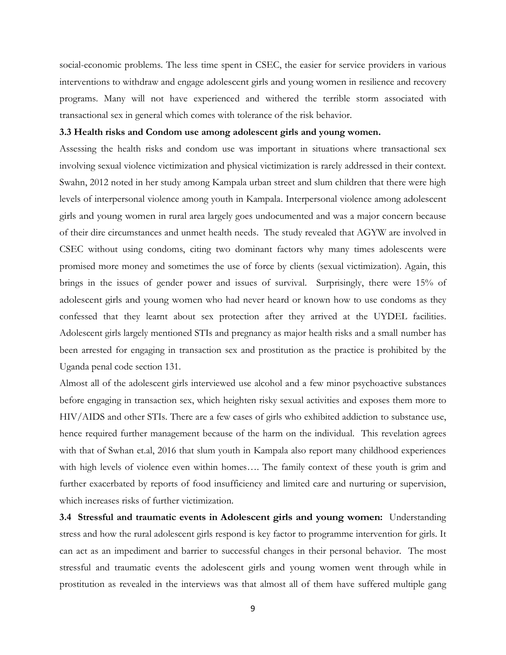social-economic problems. The less time spent in CSEC, the easier for service providers in various interventions to withdraw and engage adolescent girls and young women in resilience and recovery programs. Many will not have experienced and withered the terrible storm associated with transactional sex in general which comes with tolerance of the risk behavior.

# **3.3 Health risks and Condom use among adolescent girls and young women.**

Assessing the health risks and condom use was important in situations where transactional sex involving sexual violence victimization and physical victimization is rarely addressed in their context. Swahn, 2012 noted in her study among Kampala urban street and slum children that there were high levels of interpersonal violence among youth in Kampala. Interpersonal violence among adolescent girls and young women in rural area largely goes undocumented and was a major concern because of their dire circumstances and unmet health needs. The study revealed that AGYW are involved in CSEC without using condoms, citing two dominant factors why many times adolescents were promised more money and sometimes the use of force by clients (sexual victimization). Again, this brings in the issues of gender power and issues of survival. Surprisingly, there were 15% of adolescent girls and young women who had never heard or known how to use condoms as they confessed that they learnt about sex protection after they arrived at the UYDEL facilities. Adolescent girls largely mentioned STIs and pregnancy as major health risks and a small number has been arrested for engaging in transaction sex and prostitution as the practice is prohibited by the Uganda penal code section 131.

Almost all of the adolescent girls interviewed use alcohol and a few minor psychoactive substances before engaging in transaction sex, which heighten risky sexual activities and exposes them more to HIV/AIDS and other STIs. There are a few cases of girls who exhibited addiction to substance use, hence required further management because of the harm on the individual. This revelation agrees with that of Swhan et.al, 2016 that slum youth in Kampala also report many childhood experiences with high levels of violence even within homes…. The family context of these youth is grim and further exacerbated by reports of food insufficiency and limited care and nurturing or supervision, which increases risks of further victimization.

**3.4 Stressful and traumatic events in Adolescent girls and young women:** Understanding stress and how the rural adolescent girls respond is key factor to programme intervention for girls. It can act as an impediment and barrier to successful changes in their personal behavior. The most stressful and traumatic events the adolescent girls and young women went through while in prostitution as revealed in the interviews was that almost all of them have suffered multiple gang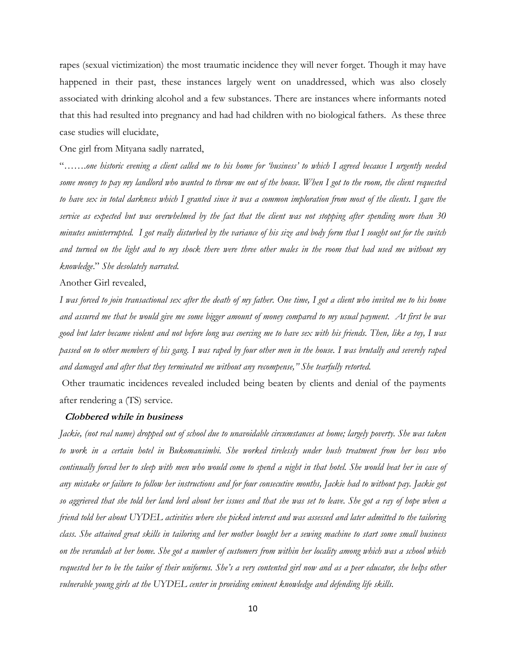rapes (sexual victimization) the most traumatic incidence they will never forget. Though it may have happened in their past, these instances largely went on unaddressed, which was also closely associated with drinking alcohol and a few substances. There are instances where informants noted that this had resulted into pregnancy and had had children with no biological fathers. As these three case studies will elucidate,

One girl from Mityana sadly narrated,

"…….*one historic evening a client called me to his home for "business" to which I agreed because I urgently needed some money to pay my landlord who wanted to throw me out of the house. When I got to the room, the client requested*  to have sex in total darkness which I granted since it was a common imploration from most of the clients. I gave the *service as expected but was overwhelmed by the fact that the client was not stopping after spending more than 30 minutes uninterrupted. I got really disturbed by the variance of his size and body form that I sought out for the switch and turned on the light and to my shock there were three other males in the room that had used me without my knowledge*." *She desolately narrated.*

Another Girl revealed,

*I was forced to join transactional sex after the death of my father. One time, I got a client who invited me to his home and assured me that he would give me some bigger amount of money compared to my usual payment. At first he was good but later became violent and not before long was coercing me to have sex with his friends. Then, like a toy, I was passed on to other members of his gang. I was raped by four other men in the house. I was brutally and severely raped and damaged and after that they terminated me without any recompense," She tearfully retorted.*

Other traumatic incidences revealed included being beaten by clients and denial of the payments after rendering a (TS) service.

#### **Clobbered while in business**

*Jackie, (not real name) dropped out of school due to unavoidable circumstances at home; largely poverty. She was taken to work in a certain hotel in Bukomansimbi. She worked tirelessly under hush treatment from her boss who continually forced her to sleep with men who would come to spend a night in that hotel. She would beat her in case of any mistake or failure to follow her instructions and for four consecutive months, Jackie had to without pay. Jackie got so aggrieved that she told her land lord about her issues and that she was set to leave. She got a ray of hope when a friend told her about UYDEL activities where she picked interest and was assessed and later admitted to the tailoring class. She attained great skills in tailoring and her mother bought her a sewing machine to start some small business on the verandah at her home. She got a number of customers from within her locality among which was a school which requested her to be the tailor of their uniforms. She"s a very contented girl now and as a peer educator, she helps other vulnerable young girls at the UYDEL center in providing eminent knowledge and defending life skills.*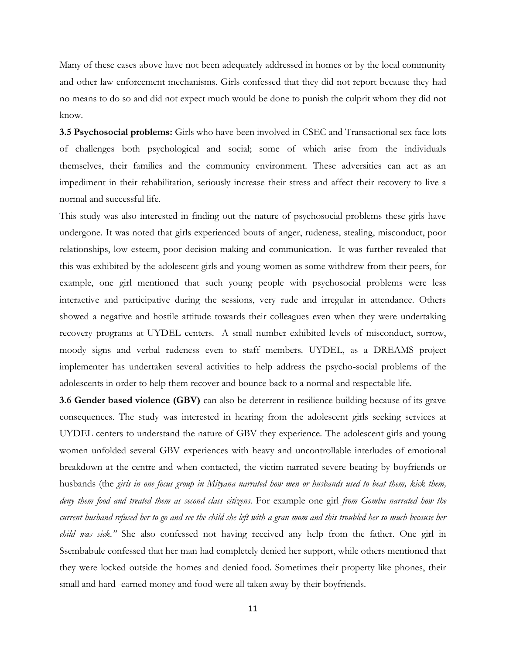Many of these cases above have not been adequately addressed in homes or by the local community and other law enforcement mechanisms. Girls confessed that they did not report because they had no means to do so and did not expect much would be done to punish the culprit whom they did not know.

**3.5 Psychosocial problems:** Girls who have been involved in CSEC and Transactional sex face lots of challenges both psychological and social; some of which arise from the individuals themselves, their families and the community environment. These adversities can act as an impediment in their rehabilitation, seriously increase their stress and affect their recovery to live a normal and successful life.

This study was also interested in finding out the nature of psychosocial problems these girls have undergone. It was noted that girls experienced bouts of anger, rudeness, stealing, misconduct, poor relationships, low esteem, poor decision making and communication. It was further revealed that this was exhibited by the adolescent girls and young women as some withdrew from their peers, for example, one girl mentioned that such young people with psychosocial problems were less interactive and participative during the sessions, very rude and irregular in attendance. Others showed a negative and hostile attitude towards their colleagues even when they were undertaking recovery programs at UYDEL centers. A small number exhibited levels of misconduct, sorrow, moody signs and verbal rudeness even to staff members. UYDEL, as a DREAMS project implementer has undertaken several activities to help address the psycho-social problems of the adolescents in order to help them recover and bounce back to a normal and respectable life.

**3.6 Gender based violence (GBV)** can also be deterrent in resilience building because of its grave consequences. The study was interested in hearing from the adolescent girls seeking services at UYDEL centers to understand the nature of GBV they experience. The adolescent girls and young women unfolded several GBV experiences with heavy and uncontrollable interludes of emotional breakdown at the centre and when contacted, the victim narrated severe beating by boyfriends or husbands (the *girls in one focus group in Mityana narrated how men or husbands used to beat them, kick them, deny them food and treated them as second class citizens*. For example one girl *from Gomba narrated how the current husband refused her to go and see the child she left with a gran mom and this troubled her so much because her child was sick.*" She also confessed not having received any help from the father. One girl in Ssembabule confessed that her man had completely denied her support, while others mentioned that they were locked outside the homes and denied food. Sometimes their property like phones, their small and hard -earned money and food were all taken away by their boyfriends.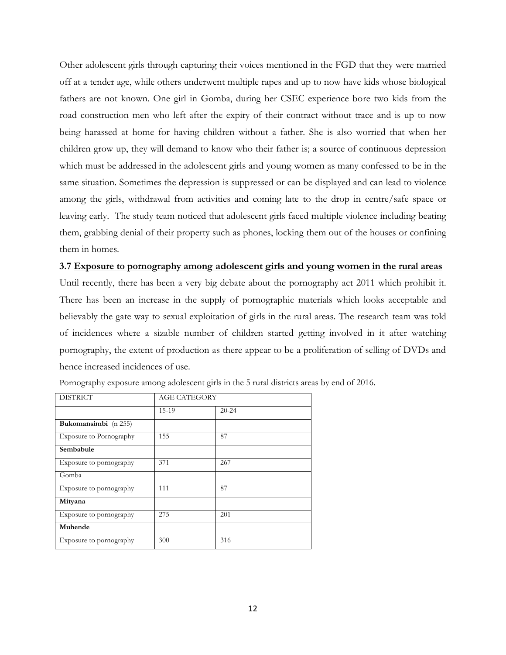Other adolescent girls through capturing their voices mentioned in the FGD that they were married off at a tender age, while others underwent multiple rapes and up to now have kids whose biological fathers are not known. One girl in Gomba, during her CSEC experience bore two kids from the road construction men who left after the expiry of their contract without trace and is up to now being harassed at home for having children without a father. She is also worried that when her children grow up, they will demand to know who their father is; a source of continuous depression which must be addressed in the adolescent girls and young women as many confessed to be in the same situation. Sometimes the depression is suppressed or can be displayed and can lead to violence among the girls, withdrawal from activities and coming late to the drop in centre/safe space or leaving early. The study team noticed that adolescent girls faced multiple violence including beating them, grabbing denial of their property such as phones, locking them out of the houses or confining them in homes.

#### **3.7 Exposure to pornography among adolescent girls and young women in the rural areas**

Until recently, there has been a very big debate about the pornography act 2011 which prohibit it. There has been an increase in the supply of pornographic materials which looks acceptable and believably the gate way to sexual exploitation of girls in the rural areas. The research team was told of incidences where a sizable number of children started getting involved in it after watching pornography, the extent of production as there appear to be a proliferation of selling of DVDs and hence increased incidences of use.

| <b>DISTRICT</b>         | <b>AGE CATEGORY</b> |           |
|-------------------------|---------------------|-----------|
|                         | 15-19               | $20 - 24$ |
| Bukomansimbi (n 255)    |                     |           |
| Exposure to Pornography | 155                 | 87        |
| Sembabule               |                     |           |
| Exposure to pornography | 371                 | 267       |
| Gomba                   |                     |           |
| Exposure to pornography | 111                 | 87        |
| Mityana                 |                     |           |
| Exposure to pornography | 275                 | 201       |
| Mubende                 |                     |           |
| Exposure to pornography | 300                 | 316       |

Pornography exposure among adolescent girls in the 5 rural districts areas by end of 2016.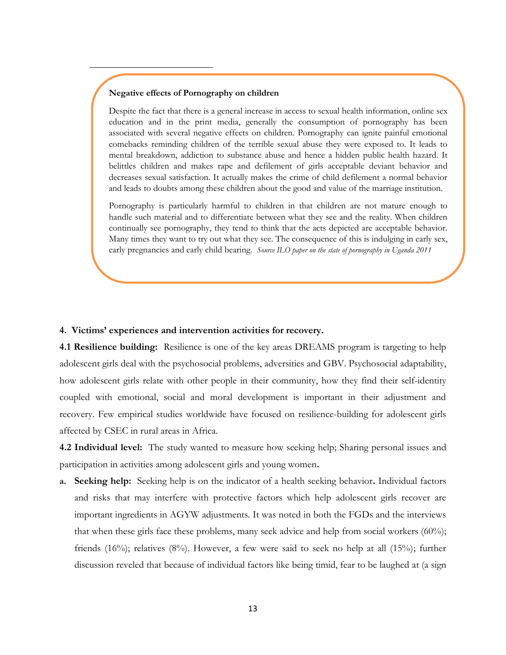#### **Negative effects of Pornography on children**

Despite the fact that there is a general increase in access to sexual health information, online sex education and in the print media, generally the consumption of pornography has been associated with several negative effects on children. Pornography can ignite painful emotional comebacks reminding children of the terrible sexual abuse they were exposed to. It leads to mental breakdown, addiction to substance abuse and hence a hidden public health hazard. It belittles children and makes rape and defilement of girls acceptable deviant behavior and decreases sexual satisfaction. It actually makes the crime of child defilement a normal behavior and leads to doubts among these children about the good and value of the marriage institution.

Pornography is particularly harmful to children in that children are not mature enough to handle such material and to differentiate between what they see and the reality. When children continually see pornography, they tend to think that the acts depicted are acceptable behavior. Many times they want to try out what they see. The consequence of this is indulging in early sex, early pregnancies and early child bearing. *Source ILO paper on the state of pornography in Uganda 2011*

#### **4. Victims' experiences and intervention activities for recovery.**

**4.1 Resilience building:** Resilience is one of the key areas DREAMS program is targeting to help adolescent girls deal with the psychosocial problems, adversities and GBV. Psychosocial adaptability, how adolescent girls relate with other people in their community, how they find their self-identity coupled with emotional, social and moral development is important in their adjustment and recovery. Few empirical studies worldwide have focused on resilience-building for adolescent girls affected by CSEC in rural areas in Africa.

**4.2 Individual level:** The study wanted to measure how seeking help; Sharing personal issues and participation in activities among adolescent girls and young women**.**

**a. Seeking help:** Seeking help is on the indicator of a health seeking behavior**.** Individual factors and risks that may interfere with protective factors which help adolescent girls recover are important ingredients in AGYW adjustments. It was noted in both the FGDs and the interviews that when these girls face these problems, many seek advice and help from social workers (60%); friends (16%); relatives (8%). However, a few were said to seek no help at all (15%); further discussion reveled that because of individual factors like being timid, fear to be laughed at (a sign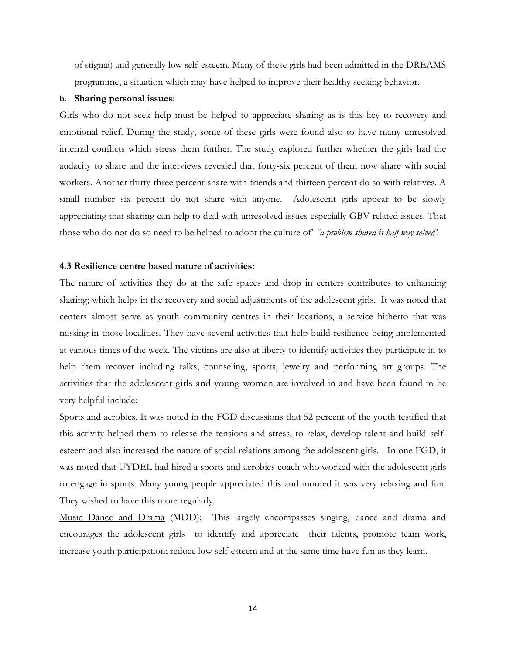of stigma) and generally low self-esteem. Many of these girls had been admitted in the DREAMS programme, a situation which may have helped to improve their healthy seeking behavior.

#### **b. Sharing personal issues**:

Girls who do not seek help must be helped to appreciate sharing as is this key to recovery and emotional relief. During the study, some of these girls were found also to have many unresolved internal conflicts which stress them further. The study explored further whether the girls had the audacity to share and the interviews revealed that forty-six percent of them now share with social workers. Another thirty-three percent share with friends and thirteen percent do so with relatives. A small number six percent do not share with anyone. Adolescent girls appear to be slowly appreciating that sharing can help to deal with unresolved issues especially GBV related issues. That those who do not do so need to be helped to adopt the culture of" *"a problem shared is half way solved".*

# **4.3 Resilience centre based nature of activities:**

The nature of activities they do at the safe spaces and drop in centers contributes to enhancing sharing; which helps in the recovery and social adjustments of the adolescent girls. It was noted that centers almost serve as youth community centres in their locations, a service hitherto that was missing in those localities. They have several activities that help build resilience being implemented at various times of the week. The victims are also at liberty to identify activities they participate in to help them recover including talks, counseling, sports, jewelry and performing art groups. The activities that the adolescent girls and young women are involved in and have been found to be very helpful include:

Sports and aerobics. It was noted in the FGD discussions that 52 percent of the youth testified that this activity helped them to release the tensions and stress, to relax, develop talent and build selfesteem and also increased the nature of social relations among the adolescent girls. In one FGD, it was noted that UYDEL had hired a sports and aerobics coach who worked with the adolescent girls to engage in sports. Many young people appreciated this and mooted it was very relaxing and fun. They wished to have this more regularly.

Music Dance and Drama (MDD); This largely encompasses singing, dance and drama and encourages the adolescent girls to identify and appreciate their talents, promote team work, increase youth participation; reduce low self-esteem and at the same time have fun as they learn.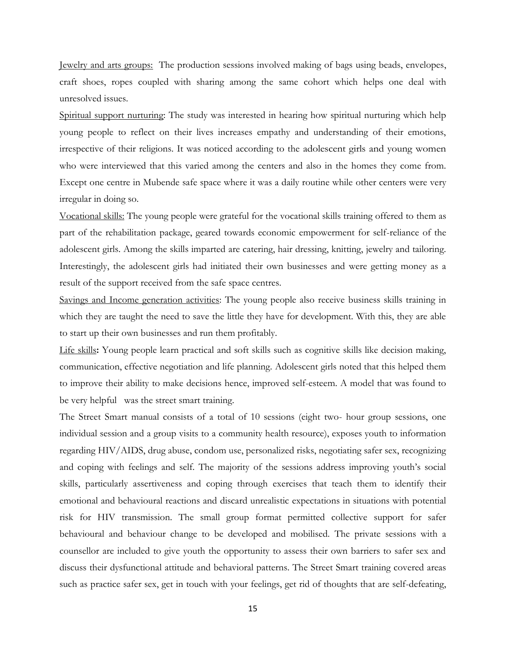Jewelry and arts groups: The production sessions involved making of bags using beads, envelopes, craft shoes, ropes coupled with sharing among the same cohort which helps one deal with unresolved issues.

Spiritual support nurturing: The study was interested in hearing how spiritual nurturing which help young people to reflect on their lives increases empathy and understanding of their emotions, irrespective of their religions. It was noticed according to the adolescent girls and young women who were interviewed that this varied among the centers and also in the homes they come from. Except one centre in Mubende safe space where it was a daily routine while other centers were very irregular in doing so.

Vocational skills: The young people were grateful for the vocational skills training offered to them as part of the rehabilitation package, geared towards economic empowerment for self-reliance of the adolescent girls. Among the skills imparted are catering, hair dressing, knitting, jewelry and tailoring. Interestingly, the adolescent girls had initiated their own businesses and were getting money as a result of the support received from the safe space centres.

Savings and Income generation activities: The young people also receive business skills training in which they are taught the need to save the little they have for development. With this, they are able to start up their own businesses and run them profitably.

Life skills**:** Young people learn practical and soft skills such as cognitive skills like decision making, communication, effective negotiation and life planning. Adolescent girls noted that this helped them to improve their ability to make decisions hence, improved self-esteem. A model that was found to be very helpful was the street smart training.

The Street Smart manual consists of a total of 10 sessions (eight two- hour group sessions, one individual session and a group visits to a community health resource), exposes youth to information regarding HIV/AIDS, drug abuse, condom use, personalized risks, negotiating safer sex, recognizing and coping with feelings and self. The majority of the sessions address improving youth's social skills, particularly assertiveness and coping through exercises that teach them to identify their emotional and behavioural reactions and discard unrealistic expectations in situations with potential risk for HIV transmission. The small group format permitted collective support for safer behavioural and behaviour change to be developed and mobilised. The private sessions with a counsellor are included to give youth the opportunity to assess their own barriers to safer sex and discuss their dysfunctional attitude and behavioral patterns. The Street Smart training covered areas such as practice safer sex, get in touch with your feelings, get rid of thoughts that are self-defeating,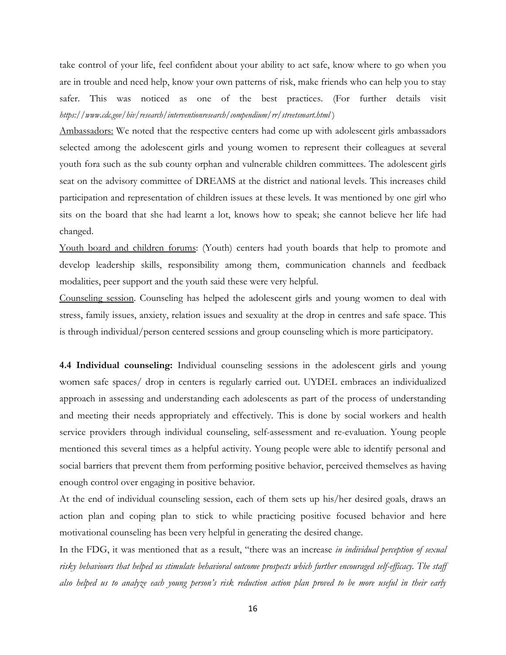take control of your life, feel confident about your ability to act safe, know where to go when you are in trouble and need help, know your own patterns of risk, make friends who can help you to stay safer. This was noticed as one of the best practices. (For further details visit *https://www.cdc.gov/hiv/research/interventionresearch/compendium/rr/streetsmart.html* )

Ambassadors: We noted that the respective centers had come up with adolescent girls ambassadors selected among the adolescent girls and young women to represent their colleagues at several youth fora such as the sub county orphan and vulnerable children committees. The adolescent girls seat on the advisory committee of DREAMS at the district and national levels. This increases child participation and representation of children issues at these levels. It was mentioned by one girl who sits on the board that she had learnt a lot, knows how to speak; she cannot believe her life had changed.

Youth board and children forums: (Youth) centers had youth boards that help to promote and develop leadership skills, responsibility among them, communication channels and feedback modalities, peer support and the youth said these were very helpful.

Counseling session. Counseling has helped the adolescent girls and young women to deal with stress, family issues, anxiety, relation issues and sexuality at the drop in centres and safe space. This is through individual/person centered sessions and group counseling which is more participatory.

**4.4 Individual counseling:** Individual counseling sessions in the adolescent girls and young women safe spaces/ drop in centers is regularly carried out. UYDEL embraces an individualized approach in assessing and understanding each adolescents as part of the process of understanding and meeting their needs appropriately and effectively. This is done by social workers and health service providers through individual counseling, self-assessment and re-evaluation. Young people mentioned this several times as a helpful activity. Young people were able to identify personal and social barriers that prevent them from performing positive behavior, perceived themselves as having enough control over engaging in positive behavior.

At the end of individual counseling session, each of them sets up his/her desired goals, draws an action plan and coping plan to stick to while practicing positive focused behavior and here motivational counseling has been very helpful in generating the desired change.

In the FDG, it was mentioned that as a result, "there was an increase *in individual perception of sexual risky behaviours that helped us stimulate behavioral outcome prospects which further encouraged self-efficacy. The staff also helped us to analyze each young person"s risk reduction action plan proved to be more useful in their early*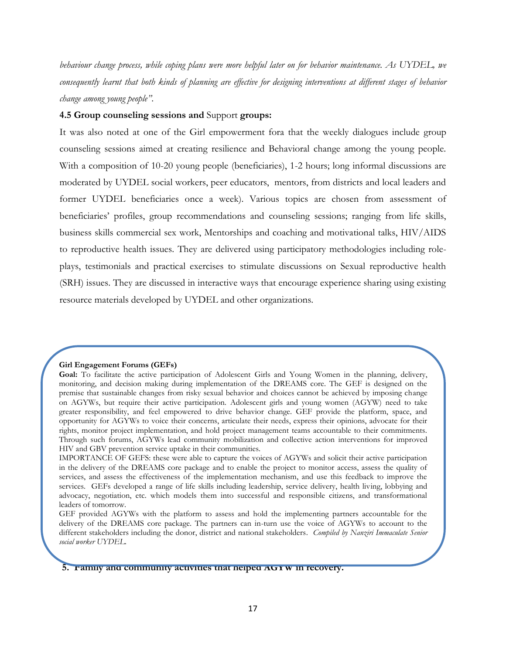*behaviour change process, while coping plans were more helpful later on for behavior maintenance. As UYDEL, we consequently learnt that both kinds of planning are effective for designing interventions at different stages of behavior change among young people"*.

# **4.5 Group counseling sessions and** Support **groups:**

It was also noted at one of the Girl empowerment fora that the weekly dialogues include group counseling sessions aimed at creating resilience and Behavioral change among the young people. With a composition of 10-20 young people (beneficiaries), 1-2 hours; long informal discussions are moderated by UYDEL social workers, peer educators, mentors, from districts and local leaders and former UYDEL beneficiaries once a week). Various topics are chosen from assessment of beneficiaries" profiles, group recommendations and counseling sessions; ranging from life skills, business skills commercial sex work, Mentorships and coaching and motivational talks, HIV/AIDS to reproductive health issues. They are delivered using participatory methodologies including roleplays, testimonials and practical exercises to stimulate discussions on Sexual reproductive health (SRH) issues. They are discussed in interactive ways that encourage experience sharing using existing resource materials developed by UYDEL and other organizations.

#### **Girl Engagement Forums (GEFs)**

**5. Family and community activities that helped AGYW in recovery.**

**Goal:** To facilitate the active participation of Adolescent Girls and Young Women in the planning, delivery, monitoring, and decision making during implementation of the DREAMS core. The GEF is designed on the premise that sustainable changes from risky sexual behavior and choices cannot be achieved by imposing change on AGYWs, but require their active participation. Adolescent girls and young women (AGYW) need to take greater responsibility, and feel empowered to drive behavior change. GEF provide the platform, space, and opportunity for AGYWs to voice their concerns, articulate their needs, express their opinions, advocate for their rights, monitor project implementation, and hold project management teams accountable to their commitments. Through such forums, AGYWs lead community mobilization and collective action interventions for improved HIV and GBV prevention service uptake in their communities.

IMPORTANCE OF GEFS: these were able to capture the voices of AGYWs and solicit their active participation in the delivery of the DREAMS core package and to enable the project to monitor access, assess the quality of services, and assess the effectiveness of the implementation mechanism, and use this feedback to improve the services. GEFs developed a range of life skills including leadership, service delivery, health living, lobbying and advocacy, negotiation, etc. which models them into successful and responsible citizens, and transformational leaders of tomorrow.

GEF provided AGYWs with the platform to assess and hold the implementing partners accountable for the delivery of the DREAMS core package. The partners can in-turn use the voice of AGYWs to account to the different stakeholders including the donor, district and national stakeholders. *Compiled by Nanziri Immaculate Senior social worker UYDEL.*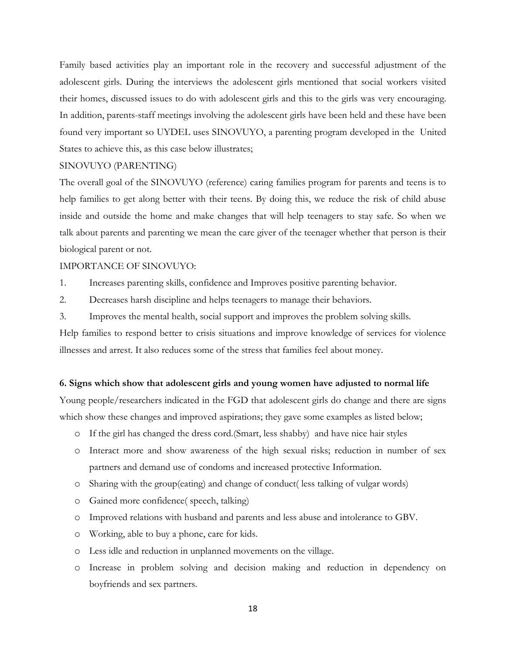Family based activities play an important role in the recovery and successful adjustment of the adolescent girls. During the interviews the adolescent girls mentioned that social workers visited their homes, discussed issues to do with adolescent girls and this to the girls was very encouraging. In addition, parents-staff meetings involving the adolescent girls have been held and these have been found very important so UYDEL uses SINOVUYO, a parenting program developed in the United States to achieve this, as this case below illustrates;

# SINOVUYO (PARENTING)

The overall goal of the SINOVUYO (reference) caring families program for parents and teens is to help families to get along better with their teens. By doing this, we reduce the risk of child abuse inside and outside the home and make changes that will help teenagers to stay safe. So when we talk about parents and parenting we mean the care giver of the teenager whether that person is their biological parent or not.

#### IMPORTANCE OF SINOVUYO:

- 1. Increases parenting skills, confidence and Improves positive parenting behavior.
- 2. Decreases harsh discipline and helps teenagers to manage their behaviors.
- 3. Improves the mental health, social support and improves the problem solving skills.

Help families to respond better to crisis situations and improve knowledge of services for violence illnesses and arrest. It also reduces some of the stress that families feel about money.

#### **6. Signs which show that adolescent girls and young women have adjusted to normal life**

Young people/researchers indicated in the FGD that adolescent girls do change and there are signs which show these changes and improved aspirations; they gave some examples as listed below;

- o If the girl has changed the dress cord.(Smart, less shabby) and have nice hair styles
- o Interact more and show awareness of the high sexual risks; reduction in number of sex partners and demand use of condoms and increased protective Information.
- o Sharing with the group(eating) and change of conduct( less talking of vulgar words)
- o Gained more confidence( speech, talking)
- o Improved relations with husband and parents and less abuse and intolerance to GBV.
- o Working, able to buy a phone, care for kids.
- o Less idle and reduction in unplanned movements on the village.
- o Increase in problem solving and decision making and reduction in dependency on boyfriends and sex partners.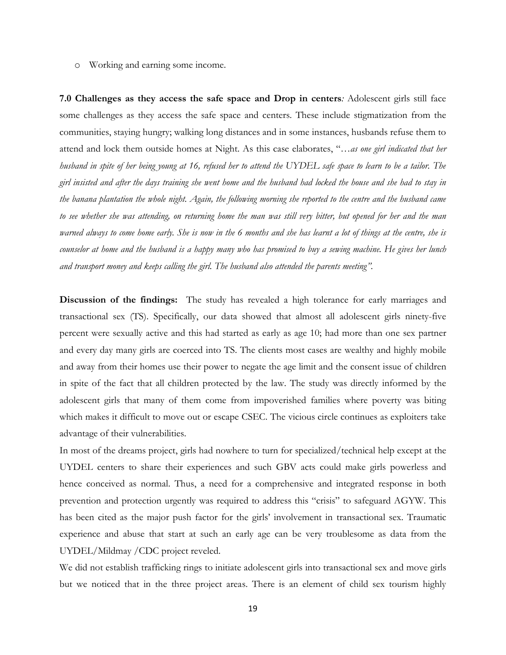o Working and earning some income.

**7.0 Challenges as they access the safe space and Drop in centers***:* Adolescent girls still face some challenges as they access the safe space and centers. These include stigmatization from the communities, staying hungry; walking long distances and in some instances, husbands refuse them to attend and lock them outside homes at Night. As this case elaborates, "*…as one girl indicated that her husband in spite of her being young at 16, refused her to attend the UYDEL safe space to learn to be a tailor. The girl insisted and after the days training she went home and the husband had locked the house and she had to stay in the banana plantation the whole night. Again, the following morning she reported to the centre and the husband came to see whether she was attending, on returning home the man was still very bitter, but opened for her and the man warned always to come home early. She is now in the 6 months and she has learnt a lot of things at the centre, she is counselor at home and the husband is a happy many who has promised to buy a sewing machine. He gives her lunch and transport money and keeps calling the girl. The husband also attended the parents meeting".*

**Discussion of the findings:** The study has revealed a high tolerance for early marriages and transactional sex (TS). Specifically, our data showed that almost all adolescent girls ninety-five percent were sexually active and this had started as early as age 10; had more than one sex partner and every day many girls are coerced into TS. The clients most cases are wealthy and highly mobile and away from their homes use their power to negate the age limit and the consent issue of children in spite of the fact that all children protected by the law. The study was directly informed by the adolescent girls that many of them come from impoverished families where poverty was biting which makes it difficult to move out or escape CSEC. The vicious circle continues as exploiters take advantage of their vulnerabilities.

In most of the dreams project, girls had nowhere to turn for specialized/technical help except at the UYDEL centers to share their experiences and such GBV acts could make girls powerless and hence conceived as normal. Thus, a need for a comprehensive and integrated response in both prevention and protection urgently was required to address this "crisis" to safeguard AGYW. This has been cited as the major push factor for the girls' involvement in transactional sex. Traumatic experience and abuse that start at such an early age can be very troublesome as data from the UYDEL/Mildmay /CDC project reveled.

We did not establish trafficking rings to initiate adolescent girls into transactional sex and move girls but we noticed that in the three project areas. There is an element of child sex tourism highly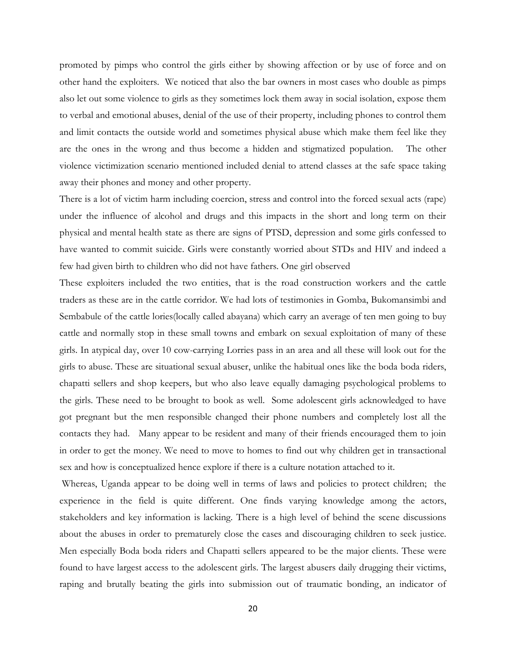promoted by pimps who control the girls either by showing affection or by use of force and on other hand the exploiters. We noticed that also the bar owners in most cases who double as pimps also let out some violence to girls as they sometimes lock them away in social isolation, expose them to verbal and emotional abuses, denial of the use of their property, including phones to control them and limit contacts the outside world and sometimes physical abuse which make them feel like they are the ones in the wrong and thus become a hidden and stigmatized population. The other violence victimization scenario mentioned included denial to attend classes at the safe space taking away their phones and money and other property.

There is a lot of victim harm including coercion, stress and control into the forced sexual acts (rape) under the influence of alcohol and drugs and this impacts in the short and long term on their physical and mental health state as there are signs of PTSD, depression and some girls confessed to have wanted to commit suicide. Girls were constantly worried about STDs and HIV and indeed a few had given birth to children who did not have fathers. One girl observed

These exploiters included the two entities, that is the road construction workers and the cattle traders as these are in the cattle corridor. We had lots of testimonies in Gomba, Bukomansimbi and Sembabule of the cattle lories(locally called abayana) which carry an average of ten men going to buy cattle and normally stop in these small towns and embark on sexual exploitation of many of these girls. In atypical day, over 10 cow-carrying Lorries pass in an area and all these will look out for the girls to abuse. These are situational sexual abuser, unlike the habitual ones like the boda boda riders, chapatti sellers and shop keepers, but who also leave equally damaging psychological problems to the girls. These need to be brought to book as well. Some adolescent girls acknowledged to have got pregnant but the men responsible changed their phone numbers and completely lost all the contacts they had. Many appear to be resident and many of their friends encouraged them to join in order to get the money. We need to move to homes to find out why children get in transactional sex and how is conceptualized hence explore if there is a culture notation attached to it.

Whereas, Uganda appear to be doing well in terms of laws and policies to protect children; the experience in the field is quite different. One finds varying knowledge among the actors, stakeholders and key information is lacking. There is a high level of behind the scene discussions about the abuses in order to prematurely close the cases and discouraging children to seek justice. Men especially Boda boda riders and Chapatti sellers appeared to be the major clients. These were found to have largest access to the adolescent girls. The largest abusers daily drugging their victims, raping and brutally beating the girls into submission out of traumatic bonding, an indicator of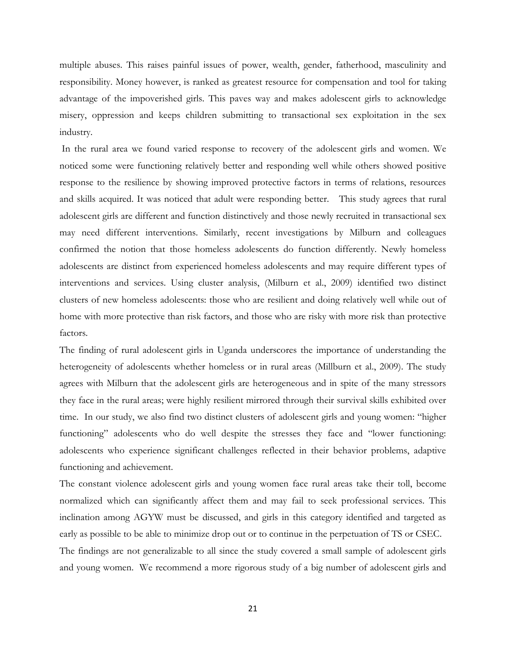multiple abuses. This raises painful issues of power, wealth, gender, fatherhood, masculinity and responsibility. Money however, is ranked as greatest resource for compensation and tool for taking advantage of the impoverished girls. This paves way and makes adolescent girls to acknowledge misery, oppression and keeps children submitting to transactional sex exploitation in the sex industry.

In the rural area we found varied response to recovery of the adolescent girls and women. We noticed some were functioning relatively better and responding well while others showed positive response to the resilience by showing improved protective factors in terms of relations, resources and skills acquired. It was noticed that adult were responding better. This study agrees that rural adolescent girls are different and function distinctively and those newly recruited in transactional sex may need different interventions. Similarly, recent investigations by Milburn and colleagues confirmed the notion that those homeless adolescents do function differently. Newly homeless adolescents are distinct from experienced homeless adolescents and may require different types of interventions and services. Using cluster analysis, (Milburn et al., 2009) identified two distinct clusters of new homeless adolescents: those who are resilient and doing relatively well while out of home with more protective than risk factors, and those who are risky with more risk than protective factors.

The finding of rural adolescent girls in Uganda underscores the importance of understanding the heterogeneity of adolescents whether homeless or in rural areas (Millburn et al., 2009). The study agrees with Milburn that the adolescent girls are heterogeneous and in spite of the many stressors they face in the rural areas; were highly resilient mirrored through their survival skills exhibited over time. In our study, we also find two distinct clusters of adolescent girls and young women: "higher functioning" adolescents who do well despite the stresses they face and "lower functioning: adolescents who experience significant challenges reflected in their behavior problems, adaptive functioning and achievement.

The constant violence adolescent girls and young women face rural areas take their toll, become normalized which can significantly affect them and may fail to seek professional services. This inclination among AGYW must be discussed, and girls in this category identified and targeted as early as possible to be able to minimize drop out or to continue in the perpetuation of TS or CSEC.

The findings are not generalizable to all since the study covered a small sample of adolescent girls and young women. We recommend a more rigorous study of a big number of adolescent girls and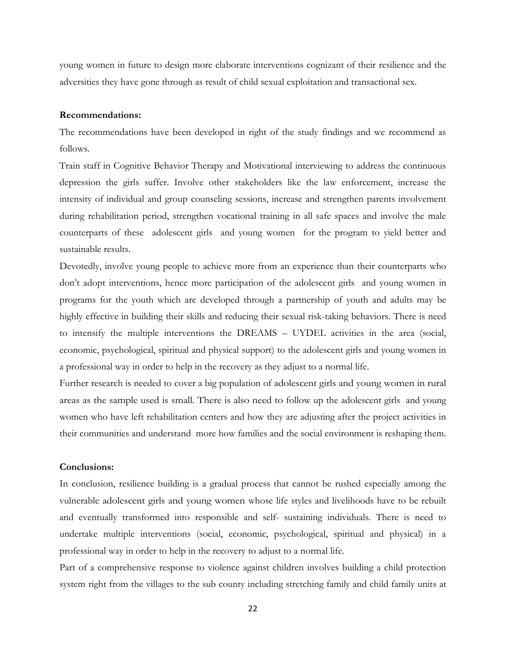young women in future to design more elaborate interventions cognizant of their resilience and the adversities they have gone through as result of child sexual exploitation and transactional sex.

#### **Recommendations:**

The recommendations have been developed in right of the study findings and we recommend as follows.

Train staff in Cognitive Behavior Therapy and Motivational interviewing to address the continuous depression the girls suffer. Involve other stakeholders like the law enforcement, increase the intensity of individual and group counseling sessions, increase and strengthen parents involvement during rehabilitation period, strengthen vocational training in all safe spaces and involve the male counterparts of these adolescent girls and young women for the program to yield better and sustainable results.

Devotedly, involve young people to achieve more from an experience than their counterparts who don"t adopt interventions, hence more participation of the adolescent girls and young women in programs for the youth which are developed through a partnership of youth and adults may be highly effective in building their skills and reducing their sexual risk-taking behaviors. There is need to intensify the multiple interventions the DREAMS – UYDEL activities in the area (social, economic, psychological, spiritual and physical support) to the adolescent girls and young women in a professional way in order to help in the recovery as they adjust to a normal life.

Further research is needed to cover a big population of adolescent girls and young women in rural areas as the sample used is small. There is also need to follow up the adolescent girls and young women who have left rehabilitation centers and how they are adjusting after the project activities in their communities and understand more how families and the social environment is reshaping them.

#### **Conclusions:**

In conclusion, resilience building is a gradual process that cannot be rushed especially among the vulnerable adolescent girls and young women whose life styles and livelihoods have to be rebuilt and eventually transformed into responsible and self- sustaining individuals. There is need to undertake multiple interventions (social, economic, psychological, spiritual and physical) in a professional way in order to help in the recovery to adjust to a normal life.

Part of a comprehensive response to violence against children involves building a child protection system right from the villages to the sub county including stretching family and child family units at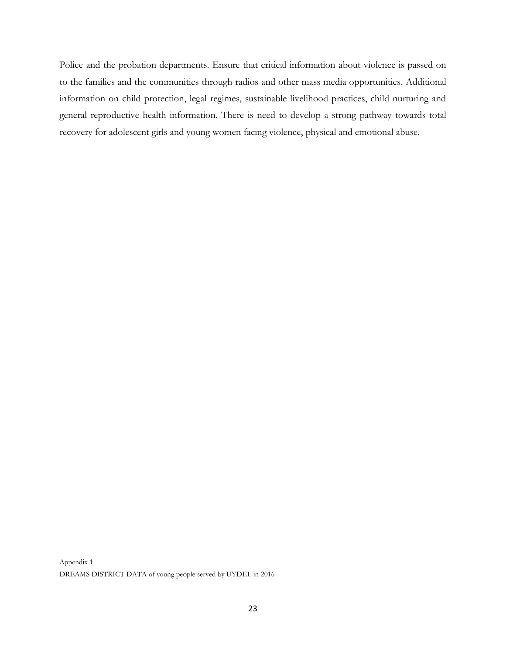Police and the probation departments. Ensure that critical information about violence is passed on to the families and the communities through radios and other mass media opportunities. Additional information on child protection, legal regimes, sustainable livelihood practices, child nurturing and general reproductive health information. There is need to develop a strong pathway towards total recovery for adolescent girls and young women facing violence, physical and emotional abuse.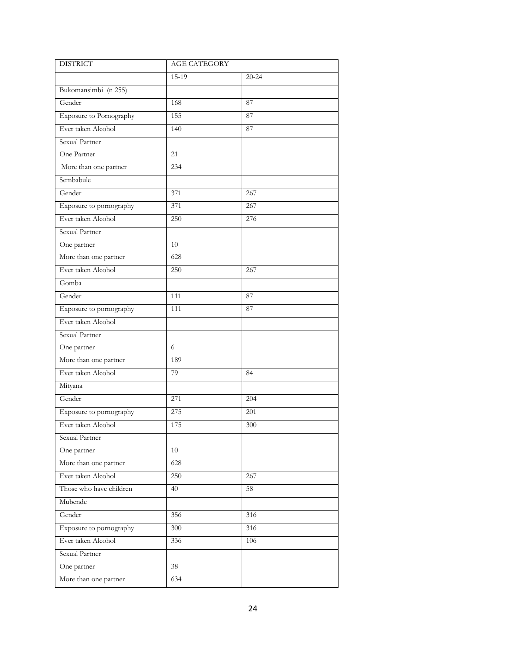| <b>DISTRICT</b>         | <b>AGE CATEGORY</b> |           |  |
|-------------------------|---------------------|-----------|--|
|                         | 15-19               | $20 - 24$ |  |
| Bukomansimbi (n 255)    |                     |           |  |
| Gender                  | 168                 | 87        |  |
| Exposure to Pornography | 155                 | 87        |  |
| Ever taken Alcohol      | 140                 | 87        |  |
| Sexual Partner          |                     |           |  |
| One Partner             | 21                  |           |  |
| More than one partner   | 234                 |           |  |
| Sembabule               |                     |           |  |
| Gender                  | 371                 | 267       |  |
| Exposure to pornography | 371                 | 267       |  |
| Ever taken Alcohol      | 250                 | 276       |  |
| Sexual Partner          |                     |           |  |
| One partner             | 10                  |           |  |
| More than one partner   | 628                 |           |  |
| Ever taken Alcohol      | 250                 | 267       |  |
| Gomba                   |                     |           |  |
| Gender                  | 111                 | 87        |  |
| Exposure to pornography | 111                 | 87        |  |
| Ever taken Alcohol      |                     |           |  |
| Sexual Partner          |                     |           |  |
| One partner             | 6                   |           |  |
| More than one partner   | 189                 |           |  |
| Ever taken Alcohol      | 79                  | 84        |  |
| Mityana                 |                     |           |  |
| Gender                  | 271                 | 204       |  |
| Exposure to pornography | 275                 | 201       |  |
| Ever taken Alcohol      | 175                 | 300       |  |
| Sexual Partner          |                     |           |  |
| One partner             | 10                  |           |  |
| More than one partner   | 628                 |           |  |
| Ever taken Alcohol      | 250                 | 267       |  |
| Those who have children | 40                  | 58        |  |
| Mubende                 |                     |           |  |
| Gender                  | 356                 | 316       |  |
| Exposure to pornography | 300                 | 316       |  |
| Ever taken Alcohol      | 336                 | 106       |  |
| Sexual Partner          |                     |           |  |
| One partner             | 38                  |           |  |
| More than one partner   | 634                 |           |  |